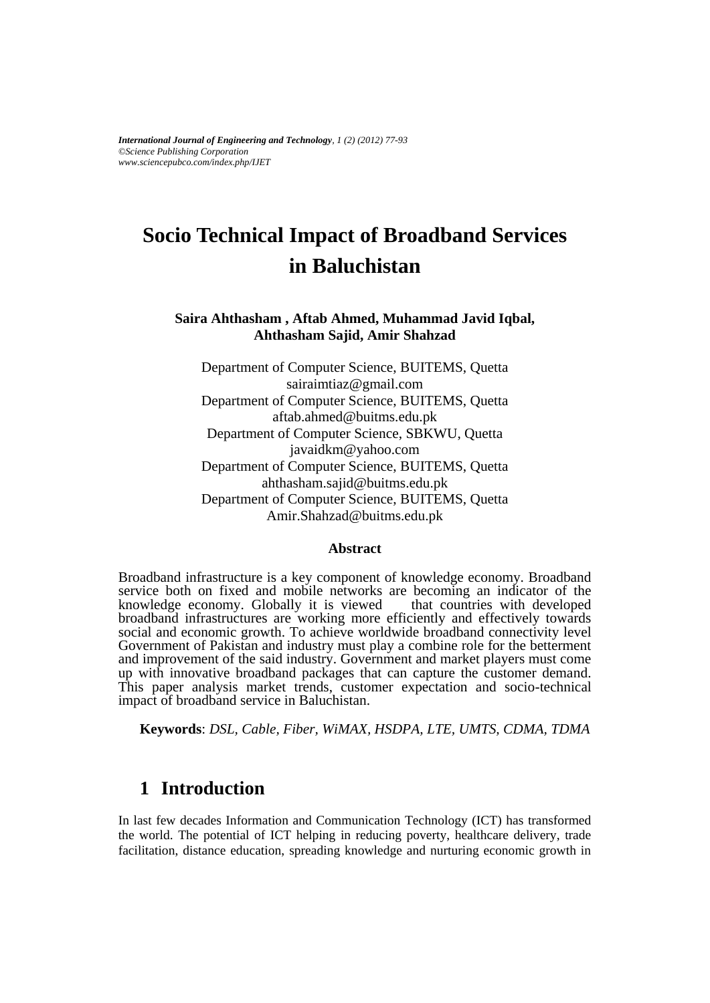*International Journal of Engineering and Technology, 1 (2) (2012) 77-93 ©Science Publishing Corporation www.sciencepubco.com/index.php/IJET*

# **Socio Technical Impact of Broadband Services in Baluchistan**

### **Saira Ahthasham , Aftab Ahmed, Muhammad Javid Iqbal, Ahthasham Sajid, Amir Shahzad**

Department of Computer Science, BUITEMS, Quetta [sairaimtiaz@gmail.com](mailto:sairaimtiaz@gmail.com) Department of Computer Science, BUITEMS, Quetta [aftab.ahmed@buitms.edu.pk](mailto:aftab.ahmed@buitms.edu.pk) Department of Computer Science, SBKWU, Quetta javaidkm@yahoo.com Department of Computer Science, BUITEMS, Quetta [ahthasham.sajid@buitms.edu.pk](mailto:ahthasham.sajid@buitms.edu.pk) Department of Computer Science, BUITEMS, Quetta Amir.Shahza[d@buitms.edu.pk](mailto:aftab.ahmed@buitms.edu.pk)

#### **Abstract**

Broadband infrastructure is a key component of knowledge economy. Broadband service both on fixed and mobile networks are becoming an indicator of the knowledge economy. Globally it is viewed that countries with developed knowledge economy. Globally it is viewed broadband infrastructures are working more efficiently and effectively towards social and economic growth. To achieve worldwide broadband connectivity level Government of Pakistan and industry must play a combine role for the betterment and improvement of the said industry. Government and market players must come up with innovative broadband packages that can capture the customer demand. This paper analysis market trends, customer expectation and socio-technical impact of broadband service in Baluchistan.

**Keywords**: *DSL, Cable, Fiber, WiMAX, HSDPA, LTE, UMTS, CDMA, TDMA*

# **1 Introduction**

In last few decades Information and Communication Technology (ICT) has transformed the world. The potential of ICT helping in reducing poverty, healthcare delivery, trade facilitation, distance education, spreading knowledge and nurturing economic growth in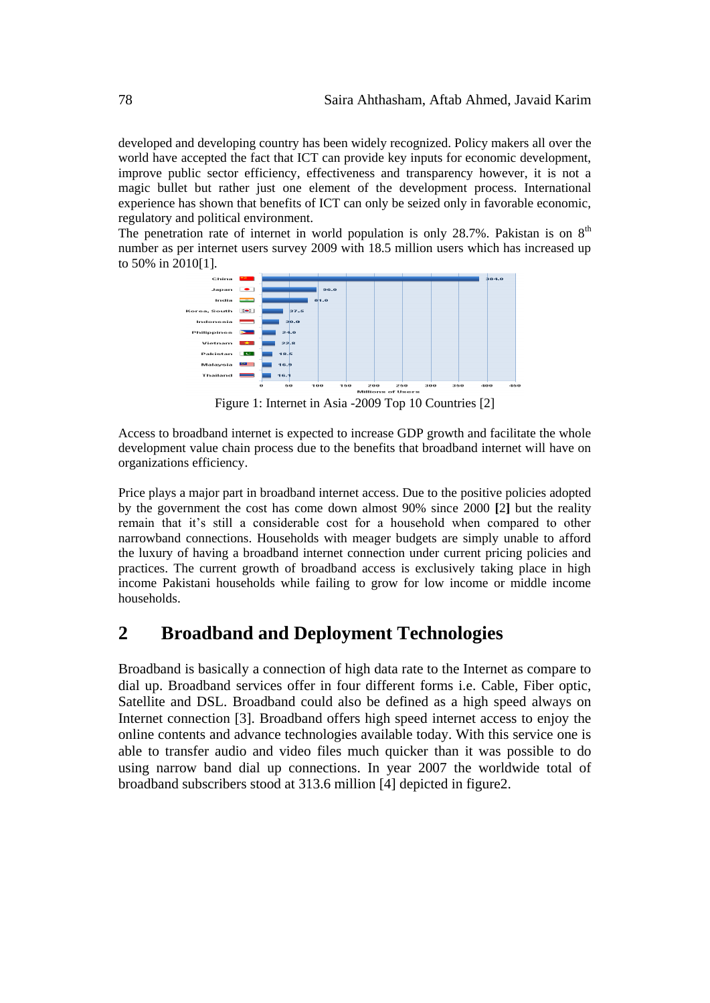developed and developing country has been widely recognized. Policy makers all over the world have accepted the fact that ICT can provide key inputs for economic development, improve public sector efficiency, effectiveness and transparency however, it is not a magic bullet but rather just one element of the development process. International experience has shown that benefits of ICT can only be seized only in favorable economic, regulatory and political environment.

The penetration rate of internet in world population is only 28.7%. Pakistan is on  $8<sup>th</sup>$ number as per internet users survey 2009 with 18.5 million users which has increased up to 50% in 2010[1].



Figure 1: Internet in Asia -2009 Top 10 Countries [2]

Access to broadband internet is expected to increase GDP growth and facilitate the whole development value chain process due to the benefits that broadband internet will have on organizations efficiency.

Price plays a major part in broadband internet access. Due to the positive policies adopted by the government the cost has come down almost 90% since 2000 **[**[2](http://www.internetworldstats.com/stats3.htm)**]** but the reality remain that it's still a considerable cost for a household when compared to other narrowband connections. Households with meager budgets are simply unable to afford the luxury of having a broadband internet connection under current pricing policies and practices. The current growth of broadband access is exclusively taking place in high income Pakistani households while failing to grow for low income or middle income households.

# **2 Broadband and Deployment Technologies**

Broadband is basically a connection of high data rate to the Internet as compare to dial up. Broadband services offer in four different forms i.e. Cable, Fiber optic, Satellite and DSL. Broadband could also be defined as a high speed always on Internet connection [3]. Broadband offers high speed internet access to enjoy the online contents and advance technologies available today. With this service one is able to transfer audio and video files much quicker than it was possible to do using narrow band dial up connections. In year 2007 the worldwide total of broadband subscribers stood at 313.6 million [4] depicted in figure2.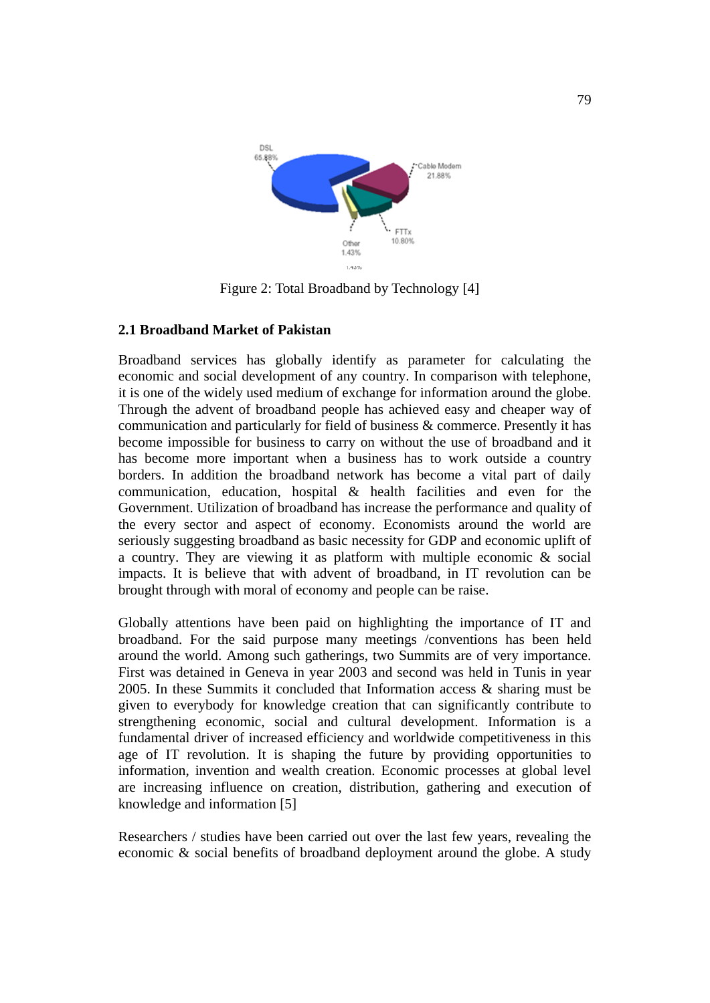

Figure 2: Total Broadband by Technology [4]

# **2.1 Broadband Market of Pakistan**

Broadband services has globally identify as parameter for calculating the economic and social development of any country. In comparison with telephone, it is one of the widely used medium of exchange for information around the globe. Through the advent of broadband people has achieved easy and cheaper way of communication and particularly for field of business & commerce. Presently it has become impossible for business to carry on without the use of broadband and it has become more important when a business has to work outside a country borders. In addition the broadband network has become a vital part of daily communication, education, hospital & health facilities and even for the Government. Utilization of broadband has increase the performance and quality of the every sector and aspect of economy. Economists around the world are seriously suggesting broadband as basic necessity for GDP and economic uplift of a country. They are viewing it as platform with multiple economic & social impacts. It is believe that with advent of broadband, in IT revolution can be brought through with moral of economy and people can be raise.

Globally attentions have been paid on highlighting the importance of IT and broadband. For the said purpose many meetings /conventions has been held around the world. Among such gatherings, two Summits are of very importance. First was detained in Geneva in year 2003 and second was held in Tunis in year 2005. In these Summits it concluded that Information access & sharing must be given to everybody for knowledge creation that can significantly contribute to strengthening economic, social and cultural development. Information is a fundamental driver of increased efficiency and worldwide competitiveness in this age of IT revolution. It is shaping the future by providing opportunities to information, invention and wealth creation. Economic processes at global level are increasing influence on creation, distribution, gathering and execution of knowledge and information [5]

Researchers / studies have been carried out over the last few years, revealing the economic & social benefits of broadband deployment around the globe. A study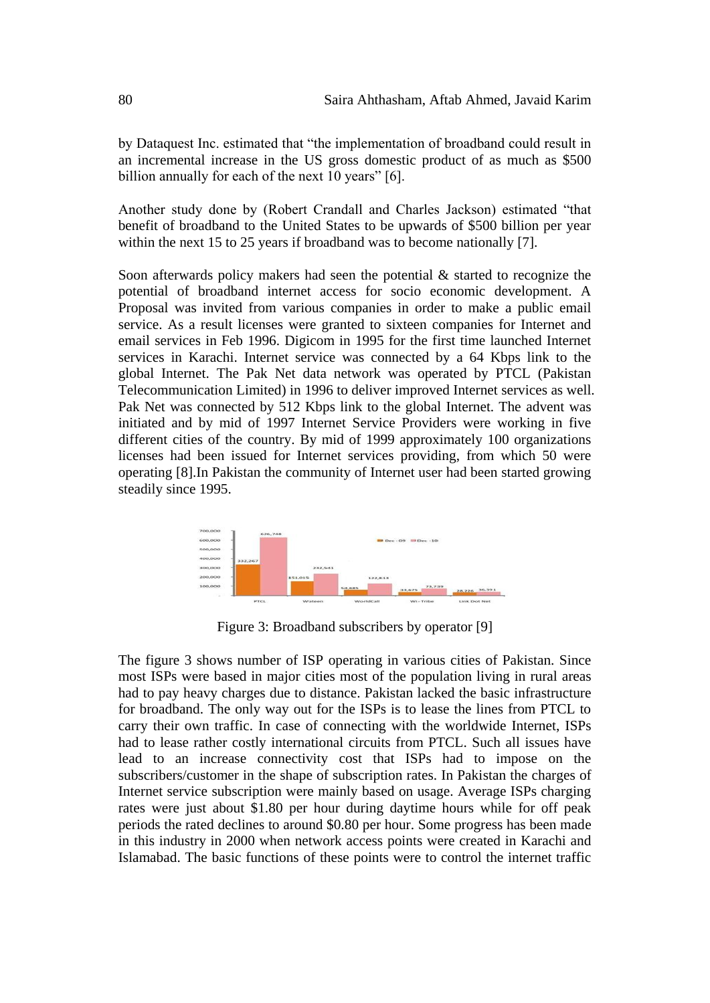by Dataquest Inc. estimated that "the implementation of broadband could result in an incremental increase in the US gross domestic product of as much as \$500 billion annually for each of the next 10 years" [6].

Another study done by (Robert Crandall and Charles Jackson) estimated "that benefit of broadband to the United States to be upwards of \$500 billion per year within the next 15 to 25 years if broadband was to become nationally [7].

Soon afterwards policy makers had seen the potential & started to recognize the potential of broadband internet access for socio economic development. A Proposal was invited from various companies in order to make a public email service. As a result licenses were granted to sixteen companies for Internet and email services in Feb 1996. Digicom in 1995 for the first time launched Internet services in Karachi. Internet service was connected by a 64 Kbps link to the global Internet. The Pak Net data network was operated by PTCL (Pakistan Telecommunication Limited) in 1996 to deliver improved Internet services as well. Pak Net was connected by 512 Kbps link to the global Internet. The advent was initiated and by mid of 1997 Internet Service Providers were working in five different cities of the country. By mid of 1999 approximately 100 organizations licenses had been issued for Internet services providing, from which 50 were operating [8].In Pakistan the community of Internet user had been started growing steadily since 1995.



Figure 3: Broadband subscribers by operator [9]

The figure 3 shows number of ISP operating in various cities of Pakistan. Since most ISPs were based in major cities most of the population living in rural areas had to pay heavy charges due to distance. Pakistan lacked the basic infrastructure for broadband. The only way out for the ISPs is to lease the lines from PTCL to carry their own traffic. In case of connecting with the worldwide Internet, ISPs had to lease rather costly international circuits from PTCL. Such all issues have lead to an increase connectivity cost that ISPs had to impose on the subscribers/customer in the shape of subscription rates. In Pakistan the charges of Internet service subscription were mainly based on usage. Average ISPs charging rates were just about \$1.80 per hour during daytime hours while for off peak periods the rated declines to around \$0.80 per hour. Some progress has been made in this industry in 2000 when network access points were created in Karachi and Islamabad. The basic functions of these points were to control the internet traffic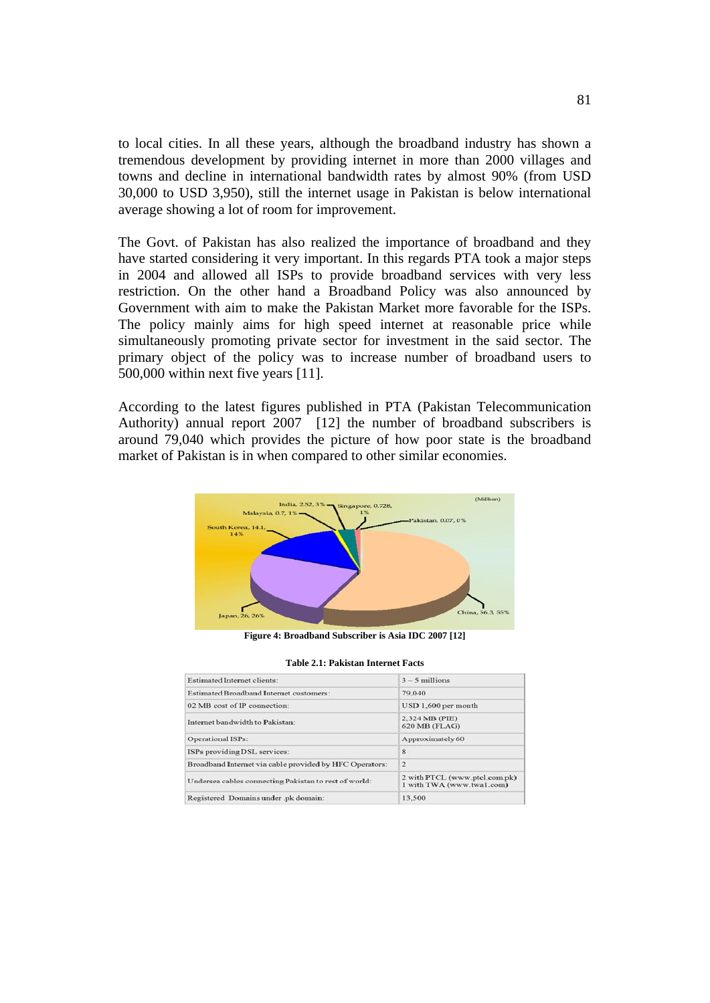to local cities. In all these years, although the broadband industry has shown a tremendous development by providing internet in more than 2000 villages and towns and decline in international bandwidth rates by almost 90% (from USD 30,000 to USD 3,950), still the internet usage in Pakistan is below international average showing a lot of room for improvement.

The Govt. of Pakistan has also realized the importance of broadband and they have started considering it very important. In this regards PTA took a major steps in 2004 and allowed all ISPs to provide broadband services with very less restriction. On the other hand a Broadband Policy was also announced by Government with aim to make the Pakistan Market more favorable for the ISPs. The policy mainly aims for high speed internet at reasonable price while simultaneously promoting private sector for investment in the said sector. The primary object of the policy was to increase number of broadband users to 500,000 within next five years [11].

According to the latest figures published in PTA (Pakistan Telecommunication Authority) annual report 2007 [12] the number of broadband subscribers is around 79,040 which provides the picture of how poor state is the broadband market of Pakistan is in when compared to other similar economies.



**Figure 4: Broadband Subscriber is Asia IDC 2007 [12]**

|  |  |  | Table 2.1: Pakistan Internet Facts |  |
|--|--|--|------------------------------------|--|
|--|--|--|------------------------------------|--|

| Estimated Internet clients:                             | $3 - 5$ millions                                           |
|---------------------------------------------------------|------------------------------------------------------------|
| Estimated Broadband Internet customers:                 | 79.040                                                     |
| 02 MB cost of IP connection:                            | USD 1,600 per month                                        |
| Internet bandwidth to Pakistan:                         | 2,324 MB (PIE)<br>620 MB (FLAG)                            |
| <b>Operational ISPs:</b>                                | Approximately 60                                           |
| ISPs providing DSL services:                            | $\boldsymbol{8}$                                           |
| Broadband Internet via cable provided by HFC Operators: | $\mathfrak{D}$                                             |
| Undersea cables connecting Pakistan to rest of world:   | 2 with PTCL (www.ptcl.com.pk)<br>1 with TWA (www.twa1.com) |
| Registered Domains under .pk domain:                    | 13,500                                                     |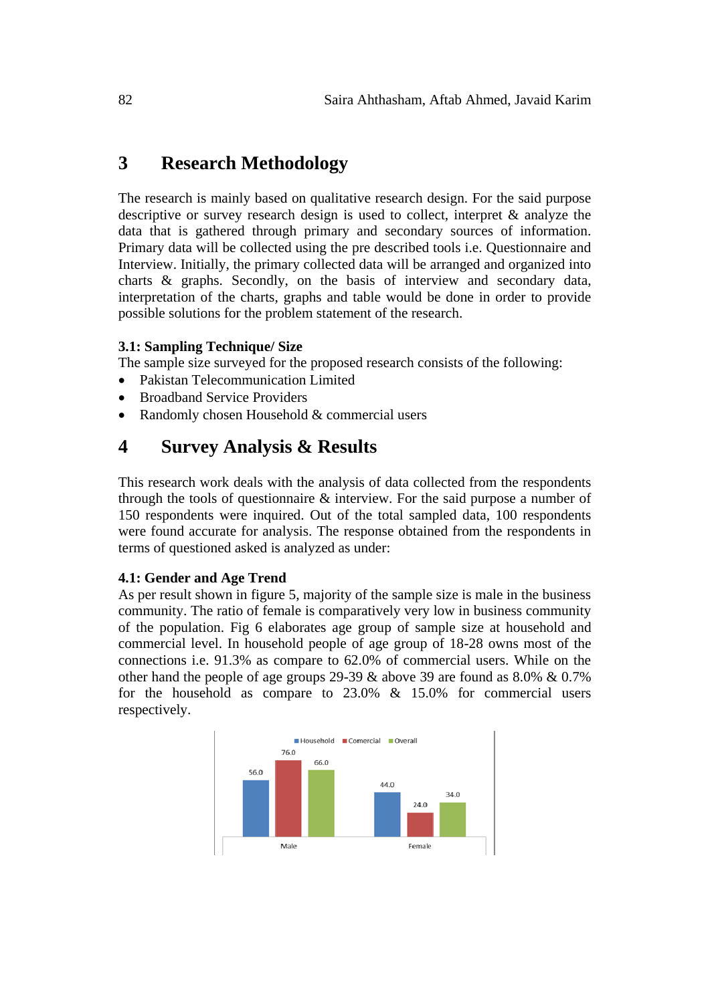# **3 Research Methodology**

The research is mainly based on qualitative research design. For the said purpose descriptive or survey research design is used to collect, interpret & analyze the data that is gathered through primary and secondary sources of information. Primary data will be collected using the pre described tools i.e. Questionnaire and Interview. Initially, the primary collected data will be arranged and organized into charts & graphs. Secondly, on the basis of interview and secondary data, interpretation of the charts, graphs and table would be done in order to provide possible solutions for the problem statement of the research.

# **3.1: Sampling Technique/ Size**

The sample size surveyed for the proposed research consists of the following:

- Pakistan Telecommunication Limited
- Broadband Service Providers
- Randomly chosen Household & commercial users

# **4 Survey Analysis & Results**

This research work deals with the analysis of data collected from the respondents through the tools of questionnaire & interview. For the said purpose a number of 150 respondents were inquired. Out of the total sampled data, 100 respondents were found accurate for analysis. The response obtained from the respondents in terms of questioned asked is analyzed as under:

# **4.1: Gender and Age Trend**

As per result shown in figure 5, majority of the sample size is male in the business community. The ratio of female is comparatively very low in business community of the population. Fig 6 elaborates age group of sample size at household and commercial level. In household people of age group of 18-28 owns most of the connections i.e. 91.3% as compare to 62.0% of commercial users. While on the other hand the people of age groups 29-39 & above 39 are found as 8.0% & 0.7% for the household as compare to 23.0% & 15.0% for commercial users respectively.

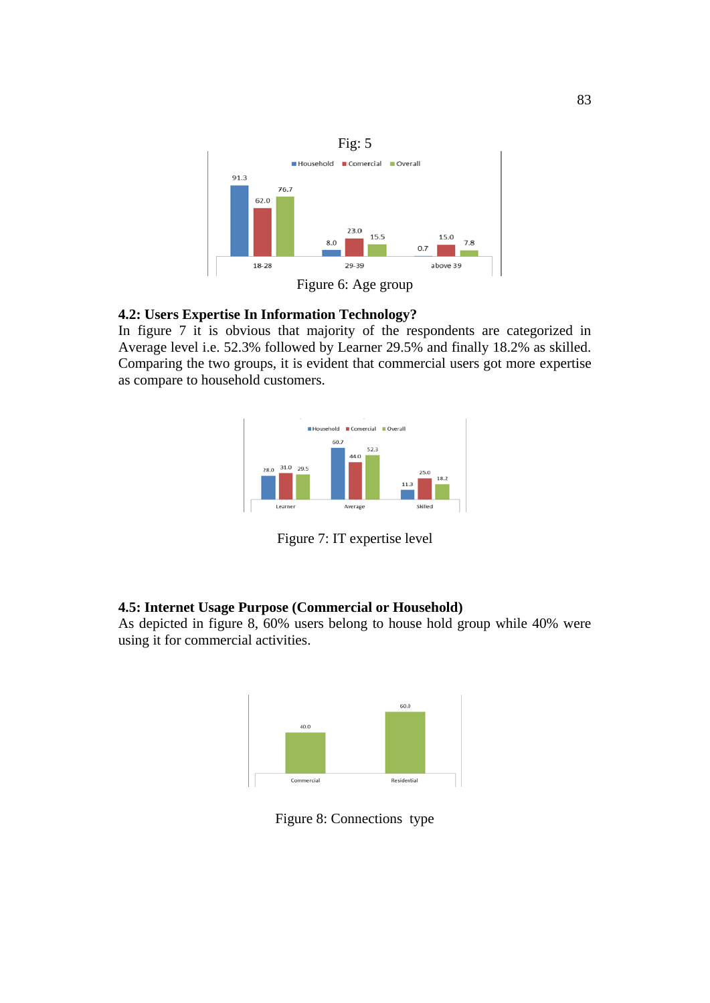

Figure 6: Age group

### **4.2: Users Expertise In Information Technology?**

In figure 7 it is obvious that majority of the respondents are categorized in Average level i.e. 52.3% followed by Learner 29.5% and finally 18.2% as skilled. Comparing the two groups, it is evident that commercial users got more expertise as compare to household customers.



Figure 7: IT expertise level

# **4.5: Internet Usage Purpose (Commercial or Household)**

As depicted in figure 8, 60% users belong to house hold group while 40% were using it for commercial activities.



Figure 8: Connections type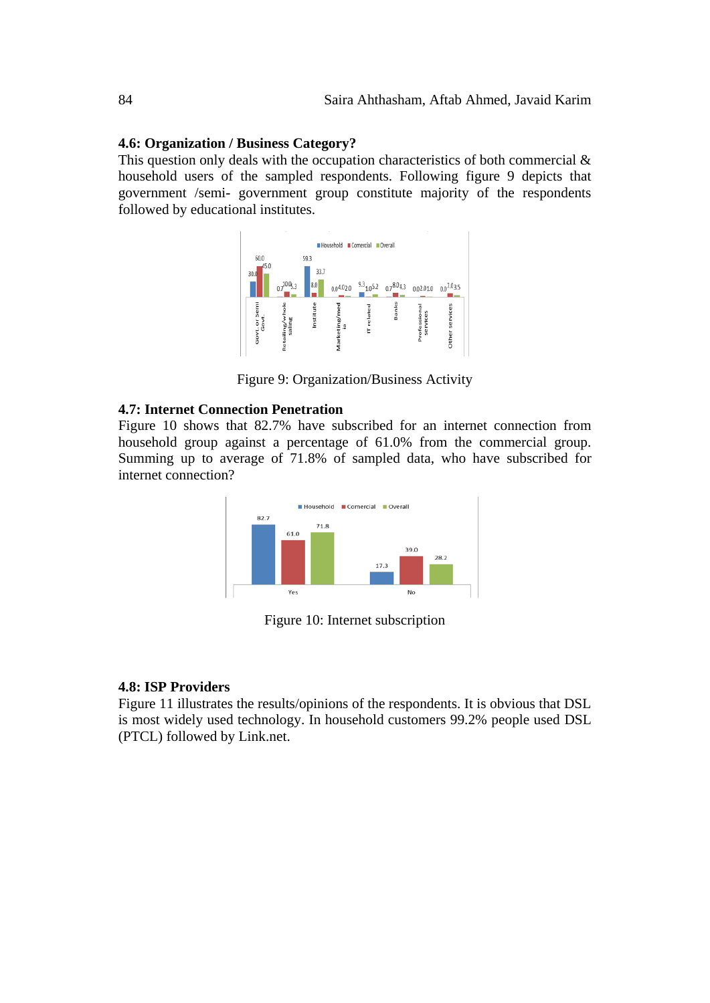#### **4.6: Organization / Business Category?**

This question only deals with the occupation characteristics of both commercial  $\&$ household users of the sampled respondents. Following figure 9 depicts that government /semi- government group constitute majority of the respondents followed by educational institutes.



Figure 9: Organization/Business Activity

#### **4.7: Internet Connection Penetration**

Figure 10 shows that 82.7% have subscribed for an internet connection from household group against a percentage of 61.0% from the commercial group. Summing up to average of 71.8% of sampled data, who have subscribed for internet connection?



Figure 10: Internet subscription

#### **4.8: ISP Providers**

Figure 11 illustrates the results/opinions of the respondents. It is obvious that DSL is most widely used technology. In household customers 99.2% people used DSL (PTCL) followed by Link.net.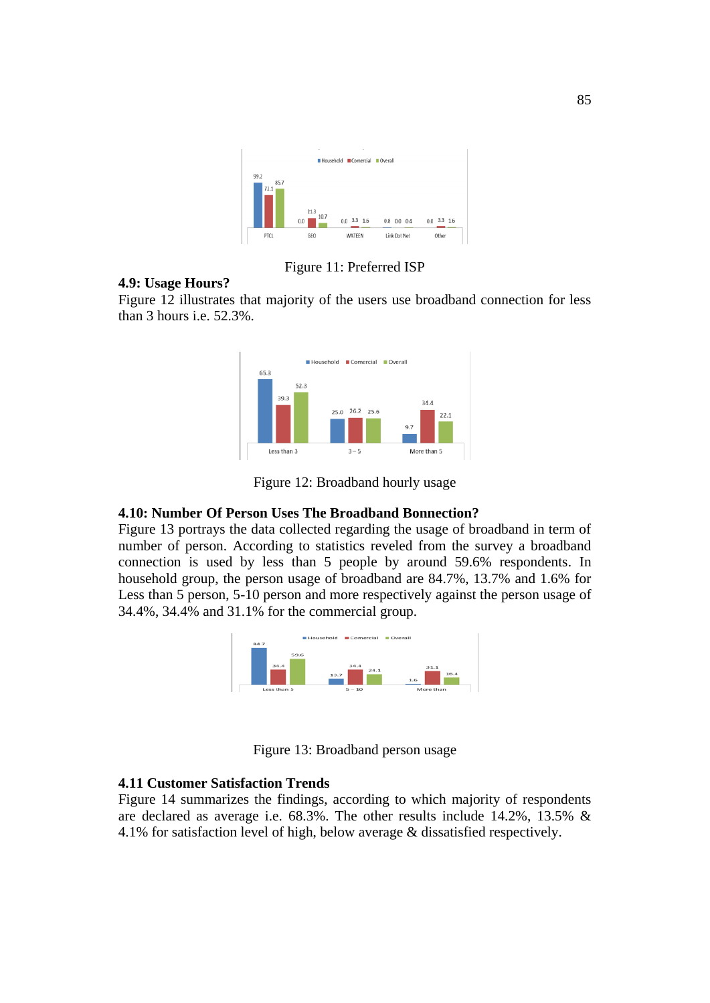

Figure 11: Preferred ISP

# **4.9: Usage Hours?**

Figure 12 illustrates that majority of the users use broadband connection for less than 3 hours i.e. 52.3%.



Figure 12: Broadband hourly usage

#### **4.10: Number Of Person Uses The Broadband Bonnection?**

Figure 13 portrays the data collected regarding the usage of broadband in term of number of person. According to statistics reveled from the survey a broadband connection is used by less than 5 people by around 59.6% respondents. In household group, the person usage of broadband are 84.7%, 13.7% and 1.6% for Less than 5 person, 5-10 person and more respectively against the person usage of 34.4%, 34.4% and 31.1% for the commercial group.



Figure 13: Broadband person usage

# **4.11 Customer Satisfaction Trends**

Figure 14 summarizes the findings, according to which majority of respondents are declared as average i.e. 68.3%. The other results include 14.2%, 13.5% & 4.1% for satisfaction level of high, below average & dissatisfied respectively.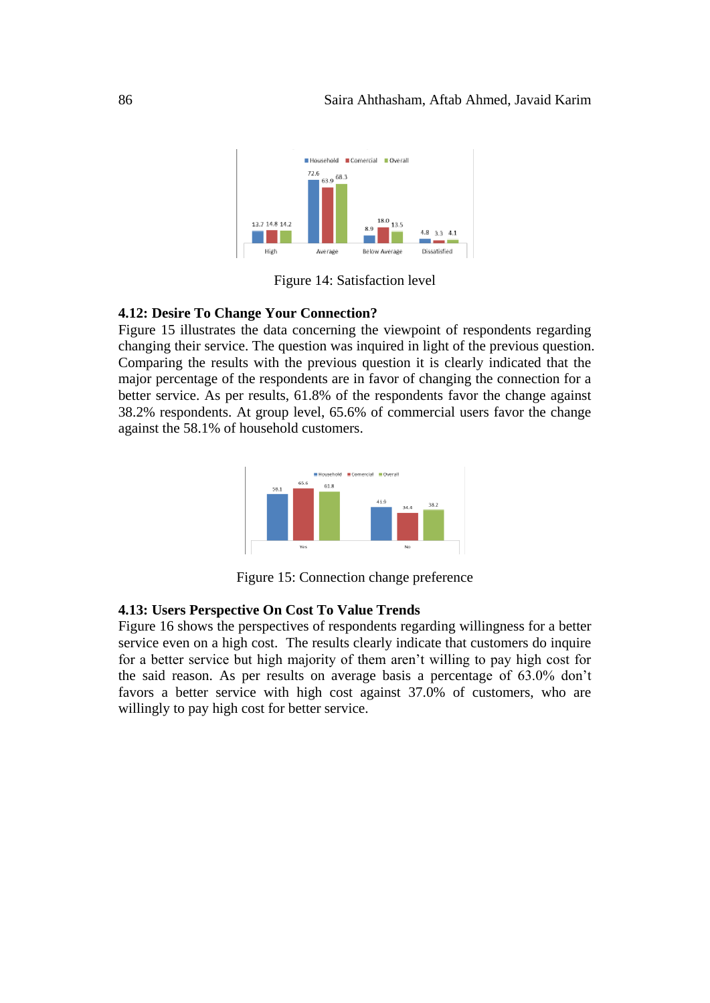

Figure 14: Satisfaction level

#### **4.12: Desire To Change Your Connection?**

Figure 15 illustrates the data concerning the viewpoint of respondents regarding changing their service. The question was inquired in light of the previous question. Comparing the results with the previous question it is clearly indicated that the major percentage of the respondents are in favor of changing the connection for a better service. As per results, 61.8% of the respondents favor the change against 38.2% respondents. At group level, 65.6% of commercial users favor the change against the 58.1% of household customers.



Figure 15: Connection change preference

#### **4.13: Users Perspective On Cost To Value Trends**

Figure 16 shows the perspectives of respondents regarding willingness for a better service even on a high cost. The results clearly indicate that customers do inquire for a better service but high majority of them aren't willing to pay high cost for the said reason. As per results on average basis a percentage of 63.0% don't favors a better service with high cost against 37.0% of customers, who are willingly to pay high cost for better service.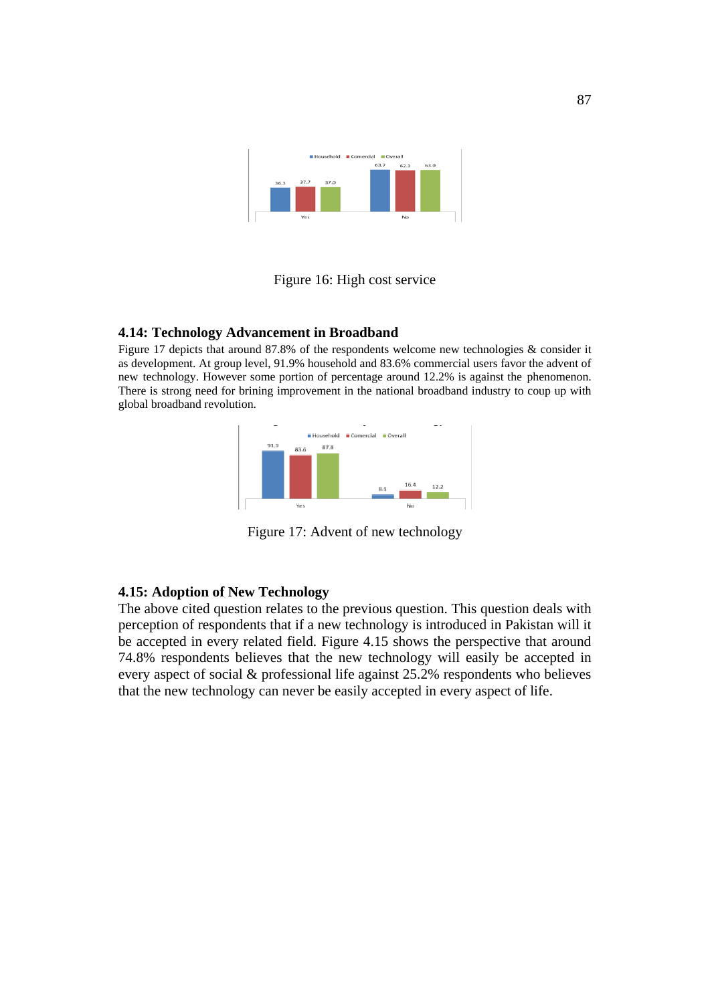

# Figure 16: High cost service

### **4.14: Technology Advancement in Broadband**

Figure 17 depicts that around 87.8% of the respondents welcome new technologies & consider it as development. At group level, 91.9% household and 83.6% commercial users favor the advent of new technology. However some portion of percentage around 12.2% is against the phenomenon. There is strong need for brining improvement in the national broadband industry to coup up with global broadband revolution.



Figure 17: Advent of new technology

### **4.15: Adoption of New Technology**

The above cited question relates to the previous question. This question deals with perception of respondents that if a new technology is introduced in Pakistan will it be accepted in every related field. Figure 4.15 shows the perspective that around 74.8% respondents believes that the new technology will easily be accepted in every aspect of social & professional life against 25.2% respondents who believes that the new technology can never be easily accepted in every aspect of life.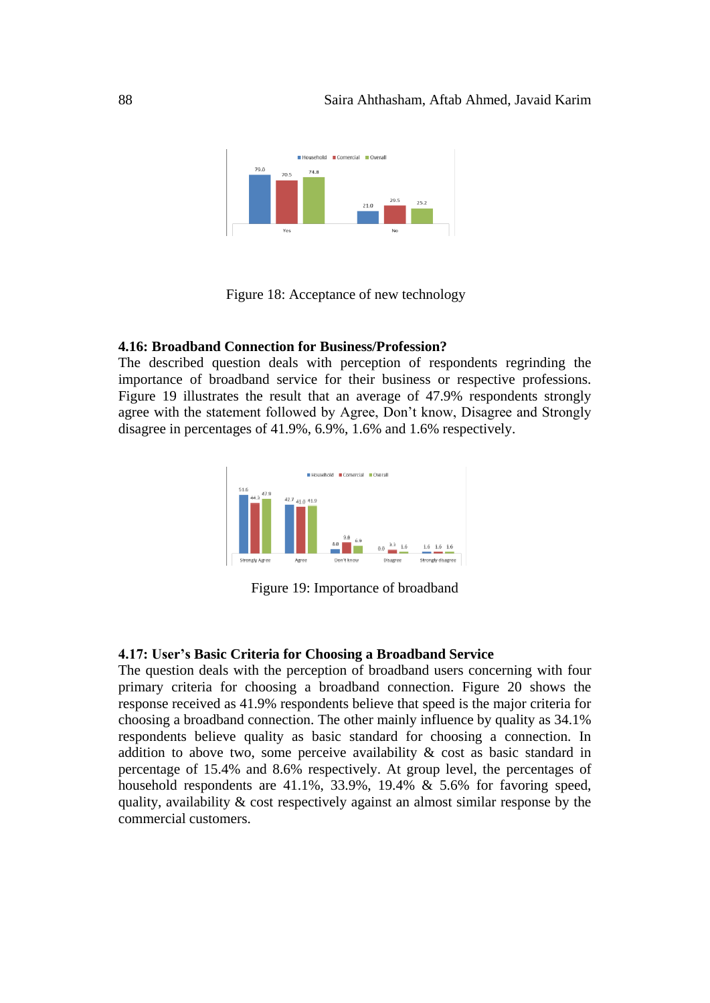

Figure 18: Acceptance of new technology

# **4.16: Broadband Connection for Business/Profession?**

The described question deals with perception of respondents regrinding the importance of broadband service for their business or respective professions. Figure 19 illustrates the result that an average of 47.9% respondents strongly agree with the statement followed by Agree, Don't know, Disagree and Strongly disagree in percentages of 41.9%, 6.9%, 1.6% and 1.6% respectively.



Figure 19: Importance of broadband

#### **4.17: User's Basic Criteria for Choosing a Broadband Service**

The question deals with the perception of broadband users concerning with four primary criteria for choosing a broadband connection. Figure 20 shows the response received as 41.9% respondents believe that speed is the major criteria for choosing a broadband connection. The other mainly influence by quality as 34.1% respondents believe quality as basic standard for choosing a connection. In addition to above two, some perceive availability  $\&$  cost as basic standard in percentage of 15.4% and 8.6% respectively. At group level, the percentages of household respondents are 41.1%, 33.9%, 19.4% & 5.6% for favoring speed, quality, availability & cost respectively against an almost similar response by the commercial customers.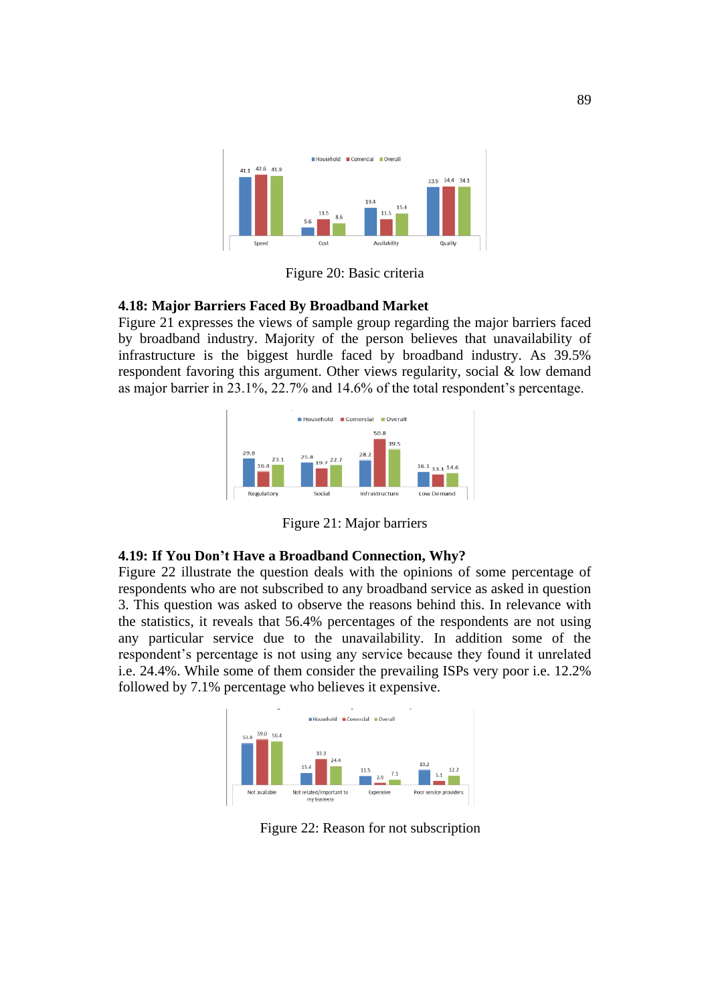

Figure 20: Basic criteria

# **4.18: Major Barriers Faced By Broadband Market**

Figure 21 expresses the views of sample group regarding the major barriers faced by broadband industry. Majority of the person believes that unavailability of infrastructure is the biggest hurdle faced by broadband industry. As 39.5% respondent favoring this argument. Other views regularity, social & low demand as major barrier in 23.1%, 22.7% and 14.6% of the total respondent's percentage.



Figure 21: Major barriers

# **4.19: If You Don't Have a Broadband Connection, Why?**

Figure 22 illustrate the question deals with the opinions of some percentage of respondents who are not subscribed to any broadband service as asked in question 3. This question was asked to observe the reasons behind this. In relevance with the statistics, it reveals that 56.4% percentages of the respondents are not using any particular service due to the unavailability. In addition some of the respondent's percentage is not using any service because they found it unrelated i.e. 24.4%. While some of them consider the prevailing ISPs very poor i.e. 12.2% followed by 7.1% percentage who believes it expensive.



Figure 22: Reason for not subscription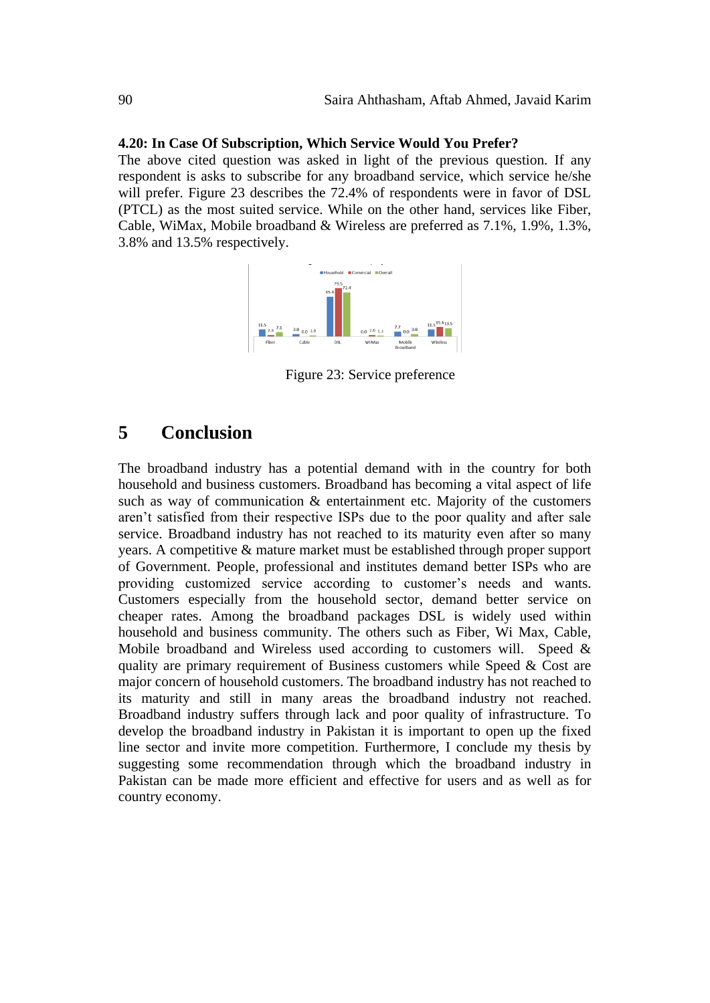#### **4.20: In Case Of Subscription, Which Service Would You Prefer?**

The above cited question was asked in light of the previous question. If any respondent is asks to subscribe for any broadband service, which service he/she will prefer. Figure 23 describes the 72.4% of respondents were in favor of DSL (PTCL) as the most suited service. While on the other hand, services like Fiber, Cable, WiMax, Mobile broadband & Wireless are preferred as 7.1%, 1.9%, 1.3%, 3.8% and 13.5% respectively.



Figure 23: Service preference

# **5 Conclusion**

The broadband industry has a potential demand with in the country for both household and business customers. Broadband has becoming a vital aspect of life such as way of communication  $\&$  entertainment etc. Majority of the customers aren't satisfied from their respective ISPs due to the poor quality and after sale service. Broadband industry has not reached to its maturity even after so many years. A competitive & mature market must be established through proper support of Government. People, professional and institutes demand better ISPs who are providing customized service according to customer's needs and wants. Customers especially from the household sector, demand better service on cheaper rates. Among the broadband packages DSL is widely used within household and business community. The others such as Fiber, Wi Max, Cable, Mobile broadband and Wireless used according to customers will. Speed & quality are primary requirement of Business customers while Speed & Cost are major concern of household customers. The broadband industry has not reached to its maturity and still in many areas the broadband industry not reached. Broadband industry suffers through lack and poor quality of infrastructure. To develop the broadband industry in Pakistan it is important to open up the fixed line sector and invite more competition. Furthermore, I conclude my thesis by suggesting some recommendation through which the broadband industry in Pakistan can be made more efficient and effective for users and as well as for country economy.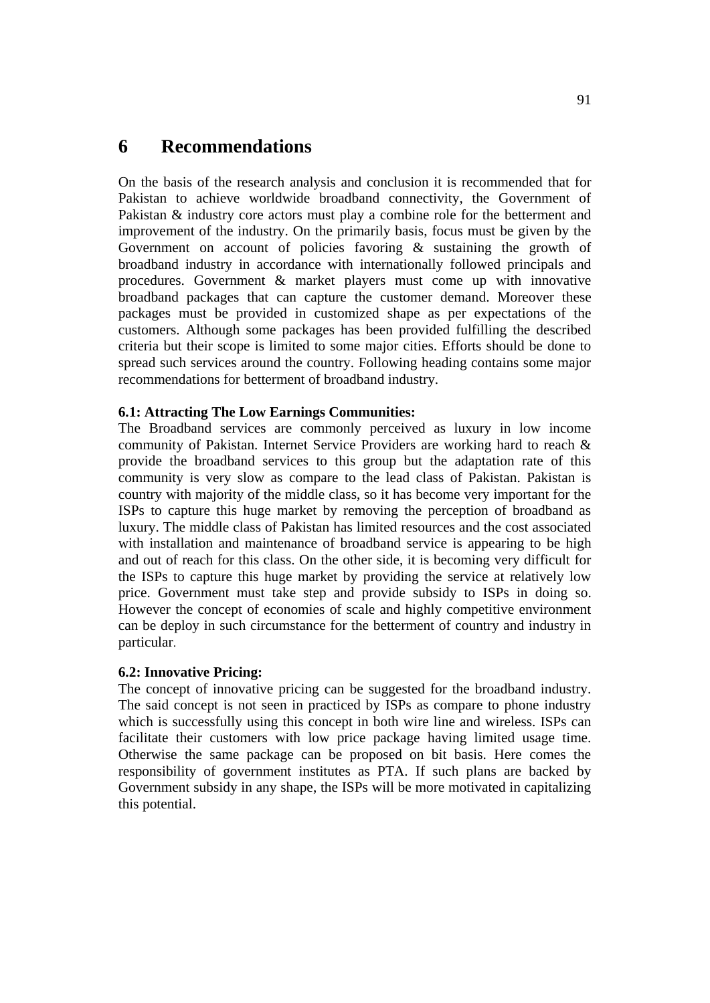# **6 Recommendations**

On the basis of the research analysis and conclusion it is recommended that for Pakistan to achieve worldwide broadband connectivity, the Government of Pakistan & industry core actors must play a combine role for the betterment and improvement of the industry. On the primarily basis, focus must be given by the Government on account of policies favoring & sustaining the growth of broadband industry in accordance with internationally followed principals and procedures. Government & market players must come up with innovative broadband packages that can capture the customer demand. Moreover these packages must be provided in customized shape as per expectations of the customers. Although some packages has been provided fulfilling the described criteria but their scope is limited to some major cities. Efforts should be done to spread such services around the country. Following heading contains some major recommendations for betterment of broadband industry.

# **6.1: Attracting The Low Earnings Communities:**

The Broadband services are commonly perceived as luxury in low income community of Pakistan. Internet Service Providers are working hard to reach & provide the broadband services to this group but the adaptation rate of this community is very slow as compare to the lead class of Pakistan. Pakistan is country with majority of the middle class, so it has become very important for the ISPs to capture this huge market by removing the perception of broadband as luxury. The middle class of Pakistan has limited resources and the cost associated with installation and maintenance of broadband service is appearing to be high and out of reach for this class. On the other side, it is becoming very difficult for the ISPs to capture this huge market by providing the service at relatively low price. Government must take step and provide subsidy to ISPs in doing so. However the concept of economies of scale and highly competitive environment can be deploy in such circumstance for the betterment of country and industry in particular.

#### **6.2: Innovative Pricing:**

The concept of innovative pricing can be suggested for the broadband industry. The said concept is not seen in practiced by ISPs as compare to phone industry which is successfully using this concept in both wire line and wireless. ISPs can facilitate their customers with low price package having limited usage time. Otherwise the same package can be proposed on bit basis. Here comes the responsibility of government institutes as PTA. If such plans are backed by Government subsidy in any shape, the ISPs will be more motivated in capitalizing this potential.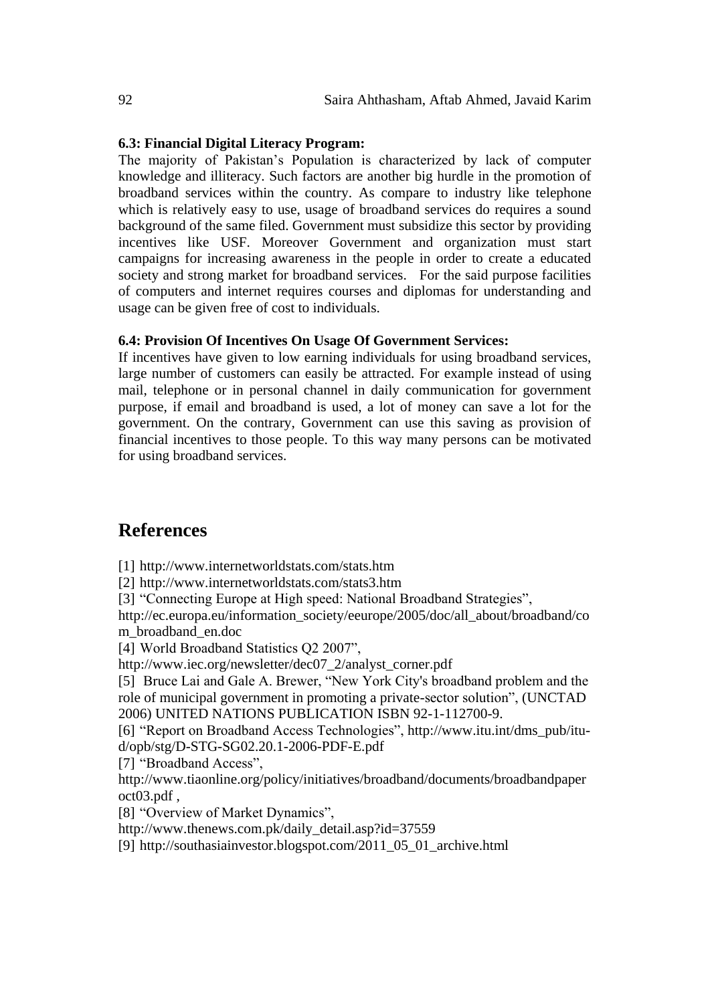#### **6.3: Financial Digital Literacy Program:**

The majority of Pakistan's Population is characterized by lack of computer knowledge and illiteracy. Such factors are another big hurdle in the promotion of broadband services within the country. As compare to industry like telephone which is relatively easy to use, usage of broadband services do requires a sound background of the same filed. Government must subsidize this sector by providing incentives like USF. Moreover Government and organization must start campaigns for increasing awareness in the people in order to create a educated society and strong market for broadband services. For the said purpose facilities of computers and internet requires courses and diplomas for understanding and usage can be given free of cost to individuals.

#### **6.4: Provision Of Incentives On Usage Of Government Services:**

If incentives have given to low earning individuals for using broadband services, large number of customers can easily be attracted. For example instead of using mail, telephone or in personal channel in daily communication for government purpose, if email and broadband is used, a lot of money can save a lot for the government. On the contrary, Government can use this saving as provision of financial incentives to those people. To this way many persons can be motivated for using broadband services.

# **References**

[1] <http://www.internetworldstats.com/stats.htm>

[2] <http://www.internetworldstats.com/stats3.htm>

[3] "Connecting Europe at High speed: National Broadband Strategies",

[http://ec.europa.eu/information\\_society/eeurope/2005/doc/all\\_about/broadband/co](http://ec.europa.eu/information_society/eeurope/2005/doc/all_about/broadband/com_broadband_en.doc) [m\\_broadband\\_en.doc](http://ec.europa.eu/information_society/eeurope/2005/doc/all_about/broadband/com_broadband_en.doc)

[4] World Broadband Statistics Q2 2007",

[http://www.iec.org/newsletter/dec07\\_2/analyst\\_corner.pdf](http://www.iec.org/newsletter/dec07_2/analyst_corner.pdf)

[5] Bruce Lai and Gale A. Brewer, "New York City's broadband problem and the role of municipal government in promoting a private-sector solution", (UNCTAD 2006) UNITED NATIONS PUBLICATION ISBN 92-1-112700-9.

[6] "Report on Broadband Access Technologies", [http://www.itu.int/dms\\_pub/itu](http://www.itu.int/dms_pub/itu-d/opb/stg/D-STG-SG02.20.1-2006-PDF-E.pdf)[d/opb/stg/D-STG-SG02.20.1-2006-PDF-E.pdf](http://www.itu.int/dms_pub/itu-d/opb/stg/D-STG-SG02.20.1-2006-PDF-E.pdf)

[7] "Broadband Access",

[http://www.tiaonline.org/policy/initiatives/broadband/documents/broadbandpaper](http://www.tiaonline.org/policy/initiatives/broadband/documents/broadbandpaperoct03.pdf) [oct03.pdf](http://www.tiaonline.org/policy/initiatives/broadband/documents/broadbandpaperoct03.pdf) ,

[8] "Overview of Market Dynamics",

[http://www.thenews.com.pk/daily\\_detail.asp?id=37559](http://www.thenews.com.pk/daily_detail.asp?id=37559)

[9] [http://southasiainvestor.blogspot.com/2011\\_05\\_01\\_archive.html](http://southasiainvestor.blogspot.com/2011_05_01_archive.html)